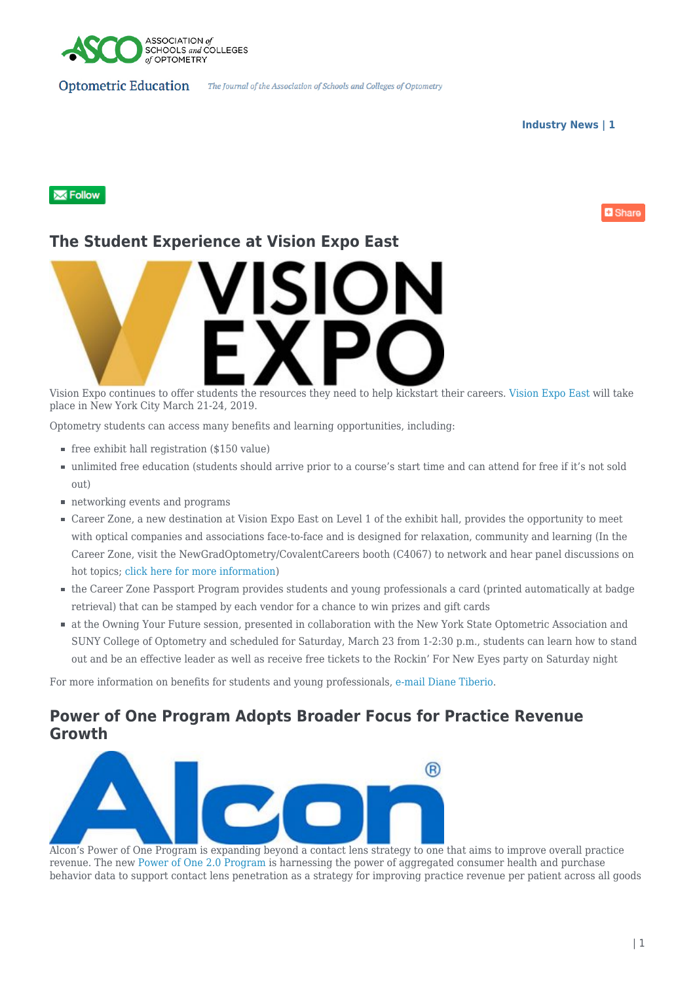

**Industry News | 1**

**D** Share

#### **XX** Follow

## **The Student Experience at Vision Expo East**



Vision Expo continues to offer students the resources they need to help kickstart their careers. [Vision Expo East](https://east.visionexpo.com/) will take place in New York City March 21-24, 2019.

Optometry students can access many benefits and learning opportunities, including:

- $\blacksquare$  free exhibit hall registration (\$150 value)
- unlimited free education (students should arrive prior to a course's start time and can attend for free if it's not sold out)
- networking events and programs
- Career Zone, a new destination at Vision Expo East on Level 1 of the exhibit hall, provides the opportunity to meet with optical companies and associations face-to-face and is designed for relaxation, community and learning (In the Career Zone, visit the NewGradOptometry/CovalentCareers booth (C4067) to network and hear panel discussions on hot topics; [click here for more information](https://east.visionexpo.com/Experiences/Young-Professionals/))
- the Career Zone Passport Program provides students and young professionals a card (printed automatically at badge retrieval) that can be stamped by each vendor for a chance to win prizes and gift cards
- at the Owning Your Future session, presented in collaboration with the New York State Optometric Association and SUNY College of Optometry and scheduled for Saturday, March 23 from 1-2:30 p.m., students can learn how to stand out and be an effective leader as well as receive free tickets to the Rockin' For New Eyes party on Saturday night

For more information on benefits for students and young professionals, [e-mail Diane Tiberio.](mailto:dtiberio@reedexpo.com)

### **Power of One Program Adopts Broader Focus for Practice Revenue Growth**



Alcon's Power of One Program is expanding beyond a contact lens strategy to one that aims to improve overall practice revenue. The new [Power of One 2.0 Program](https://www.myalcon.com/tools-resources/power-of-one/) is harnessing the power of aggregated consumer health and purchase behavior data to support contact lens penetration as a strategy for improving practice revenue per patient across all goods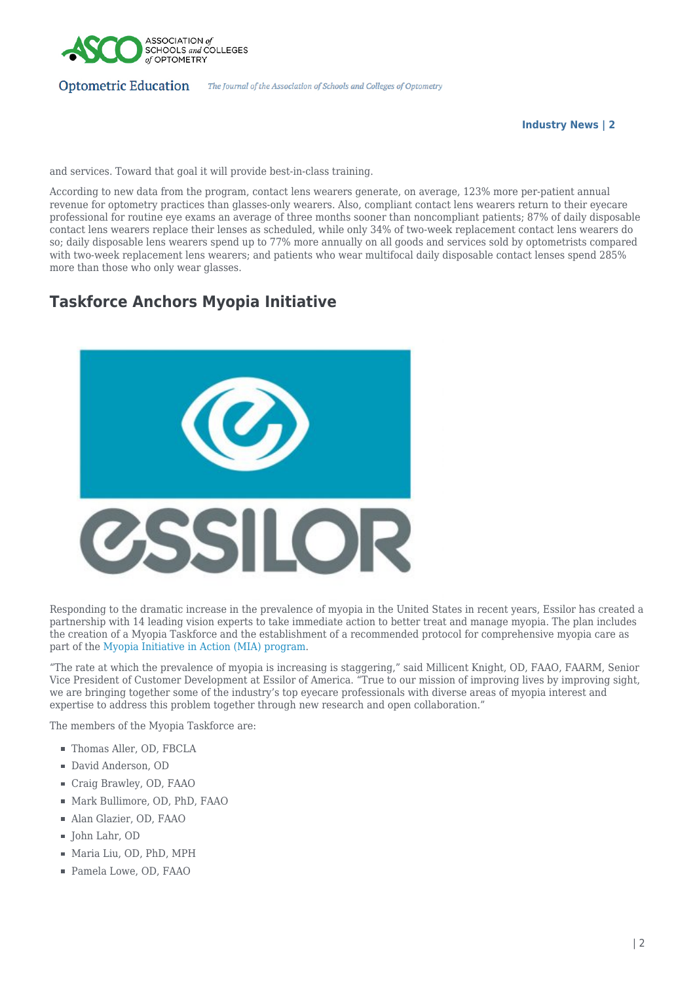

#### **Optometric Education**

**Industry News | 2**

and services. Toward that goal it will provide best-in-class training.

According to new data from the program, contact lens wearers generate, on average, 123% more per-patient annual revenue for optometry practices than glasses-only wearers. Also, compliant contact lens wearers return to their eyecare professional for routine eye exams an average of three months sooner than noncompliant patients; 87% of daily disposable contact lens wearers replace their lenses as scheduled, while only 34% of two-week replacement contact lens wearers do so; daily disposable lens wearers spend up to 77% more annually on all goods and services sold by optometrists compared with two-week replacement lens wearers; and patients who wear multifocal daily disposable contact lenses spend 285% more than those who only wear glasses.

# **Taskforce Anchors Myopia Initiative**



Responding to the dramatic increase in the prevalence of myopia in the United States in recent years, Essilor has created a partnership with 14 leading vision experts to take immediate action to better treat and manage myopia. The plan includes the creation of a Myopia Taskforce and the establishment of a recommended protocol for comprehensive myopia care as part of the [Myopia Initiative in Action \(MIA\) program.](https://www.essilorusa.com/your-vision/vision-issues-by-age/glasses-for-myopia#/)

"The rate at which the prevalence of myopia is increasing is staggering," said Millicent Knight, OD, FAAO, FAARM, Senior Vice President of Customer Development at Essilor of America. "True to our mission of improving lives by improving sight, we are bringing together some of the industry's top eyecare professionals with diverse areas of myopia interest and expertise to address this problem together through new research and open collaboration."

The members of the Myopia Taskforce are:

- Thomas Aller, OD, FBCLA
- David Anderson, OD
- Craig Brawley, OD, FAAO
- Mark Bullimore, OD, PhD, FAAO
- Alan Glazier, OD, FAAO
- John Lahr, OD
- Maria Liu, OD, PhD, MPH
- Pamela Lowe, OD, FAAO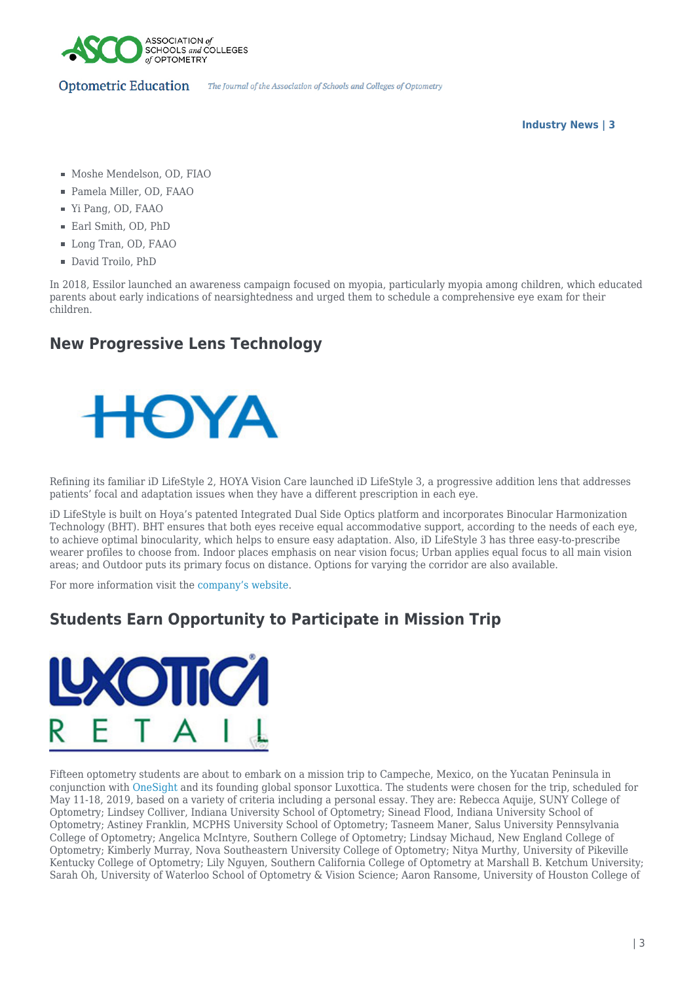

**Industry News | 3**

- $\blacksquare$  Moshe Mendelson, OD, FIAO
- Pamela Miller, OD, FAAO
- Yi Pang, OD, FAAO
- Earl Smith, OD, PhD
- Long Tran, OD, FAAO
- David Troilo, PhD

In 2018, Essilor launched an awareness campaign focused on myopia, particularly myopia among children, which educated parents about early indications of nearsightedness and urged them to schedule a comprehensive eye exam for their children.

# **New Progressive Lens Technology**



Refining its familiar iD LifeStyle 2, HOYA Vision Care launched iD LifeStyle 3, a progressive addition lens that addresses patients' focal and adaptation issues when they have a different prescription in each eye.

iD LifeStyle is built on Hoya's patented Integrated Dual Side Optics platform and incorporates Binocular Harmonization Technology (BHT). BHT ensures that both eyes receive equal accommodative support, according to the needs of each eye, to achieve optimal binocularity, which helps to ensure easy adaptation. Also, iD LifeStyle 3 has three easy-to-prescribe wearer profiles to choose from. Indoor places emphasis on near vision focus; Urban applies equal focus to all main vision areas; and Outdoor puts its primary focus on distance. Options for varying the corridor are also available.

For more information visit the [company's website](https://www.hoyavision.com/en-us/).

# **Students Earn Opportunity to Participate in Mission Trip**



Fifteen optometry students are about to embark on a mission trip to Campeche, Mexico, on the Yucatan Peninsula in conjunction with [OneSight](https://onesight.org/) and its founding global sponsor Luxottica. The students were chosen for the trip, scheduled for May 11-18, 2019, based on a variety of criteria including a personal essay. They are: Rebecca Aquije, SUNY College of Optometry; Lindsey Colliver, Indiana University School of Optometry; Sinead Flood, Indiana University School of Optometry; Astiney Franklin, MCPHS University School of Optometry; Tasneem Maner, Salus University Pennsylvania College of Optometry; Angelica McIntyre, Southern College of Optometry; Lindsay Michaud, New England College of Optometry; Kimberly Murray, Nova Southeastern University College of Optometry; Nitya Murthy, University of Pikeville Kentucky College of Optometry; Lily Nguyen, Southern California College of Optometry at Marshall B. Ketchum University; Sarah Oh, University of Waterloo School of Optometry & Vision Science; Aaron Ransome, University of Houston College of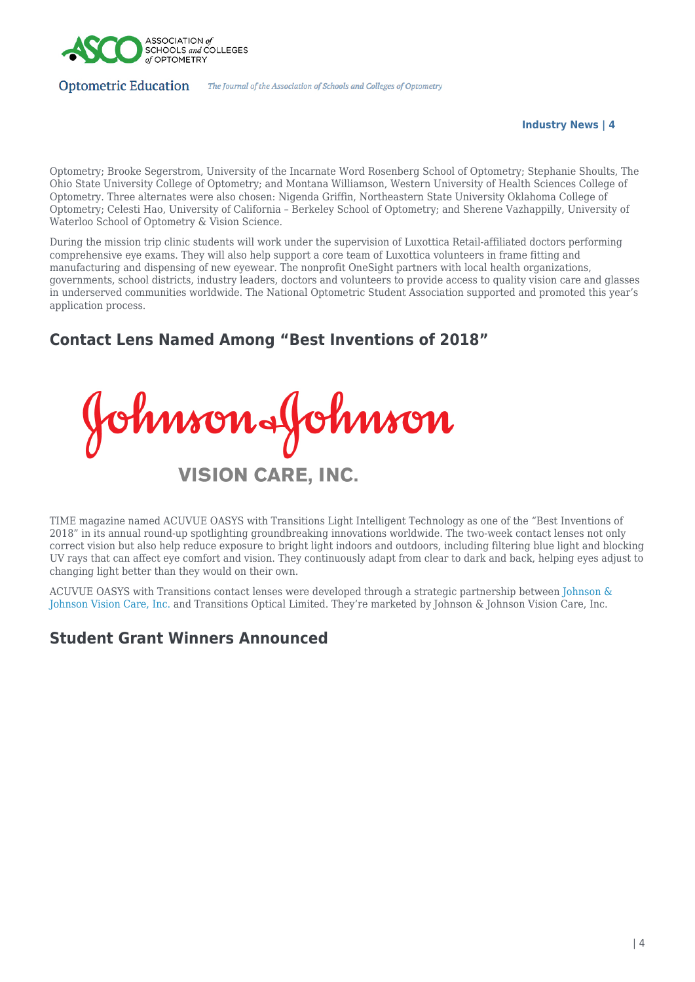

**Industry News | 4**

Optometry; Brooke Segerstrom, University of the Incarnate Word Rosenberg School of Optometry; Stephanie Shoults, The Ohio State University College of Optometry; and Montana Williamson, Western University of Health Sciences College of Optometry. Three alternates were also chosen: Nigenda Griffin, Northeastern State University Oklahoma College of Optometry; Celesti Hao, University of California – Berkeley School of Optometry; and Sherene Vazhappilly, University of Waterloo School of Optometry & Vision Science.

During the mission trip clinic students will work under the supervision of Luxottica Retail-affiliated doctors performing comprehensive eye exams. They will also help support a core team of Luxottica volunteers in frame fitting and manufacturing and dispensing of new eyewear. The nonprofit OneSight partners with local health organizations, governments, school districts, industry leaders, doctors and volunteers to provide access to quality vision care and glasses in underserved communities worldwide. The National Optometric Student Association supported and promoted this year's application process.

# **Contact Lens Named Among "Best Inventions of 2018"**

Johnson&Johnson **VISION CARE, INC.** 

TIME magazine named ACUVUE OASYS with Transitions Light Intelligent Technology as one of the "Best Inventions of 2018" in its annual round-up spotlighting groundbreaking innovations worldwide. The two-week contact lenses not only correct vision but also help reduce exposure to bright light indoors and outdoors, including filtering blue light and blocking UV rays that can affect eye comfort and vision. They continuously adapt from clear to dark and back, helping eyes adjust to changing light better than they would on their own.

ACUVUE OASYS with Transitions contact lenses were developed through a strategic partnership between [Johnson &](https://www.jjvision.com/) [Johnson Vision Care, Inc.](https://www.jjvision.com/) and Transitions Optical Limited. They're marketed by Johnson & Johnson Vision Care, Inc.

### **Student Grant Winners Announced**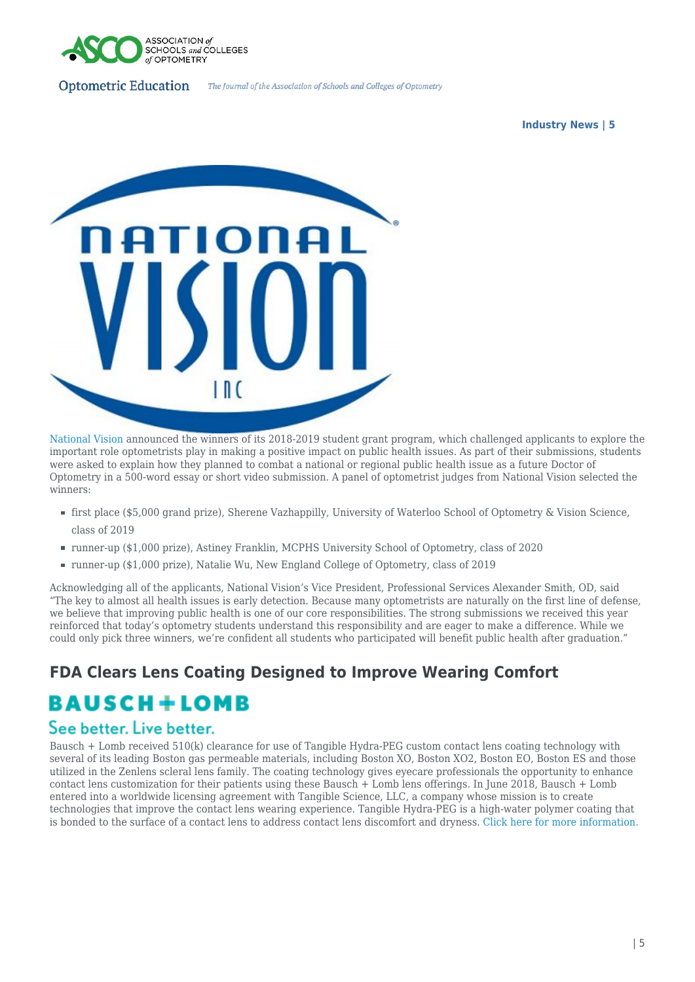

#### **Industry News | 5**



[National Vision](https://www.nationalvision.com/) announced the winners of its 2018-2019 student grant program, which challenged applicants to explore the important role optometrists play in making a positive impact on public health issues. As part of their submissions, students were asked to explain how they planned to combat a national or regional public health issue as a future Doctor of Optometry in a 500-word essay or short video submission. A panel of optometrist judges from National Vision selected the winners:

- first place (\$5,000 grand prize), Sherene Vazhappilly, University of Waterloo School of Optometry & Vision Science, class of 2019
- runner-up (\$1,000 prize), Astiney Franklin, MCPHS University School of Optometry, class of 2020
- runner-up (\$1,000 prize), Natalie Wu, New England College of Optometry, class of 2019

Acknowledging all of the applicants, National Vision's Vice President, Professional Services Alexander Smith, OD, said "The key to almost all health issues is early detection. Because many optometrists are naturally on the first line of defense, we believe that improving public health is one of our core responsibilities. The strong submissions we received this year reinforced that today's optometry students understand this responsibility and are eager to make a difference. While we could only pick three winners, we're confident all students who participated will benefit public health after graduation."

# **FDA Clears Lens Coating Designed to Improve Wearing Comfort BAUSCH+LOMB**

#### See better. Live better.

Bausch + Lomb received 510(k) clearance for use of Tangible Hydra-PEG custom contact lens coating technology with several of its leading Boston gas permeable materials, including Boston XO, Boston XO2, Boston EO, Boston ES and those utilized in the Zenlens scleral lens family. The coating technology gives eyecare professionals the opportunity to enhance contact lens customization for their patients using these Bausch + Lomb lens offerings. In June 2018, Bausch + Lomb entered into a worldwide licensing agreement with Tangible Science, LLC, a company whose mission is to create technologies that improve the contact lens wearing experience. Tangible Hydra-PEG is a high-water polymer coating that is bonded to the surface of a contact lens to address contact lens discomfort and dryness. [Click here for more information.](http://www.bausch.com/our-company/recent-news/artmid/11336/articleid/507/2132019-Wednesday)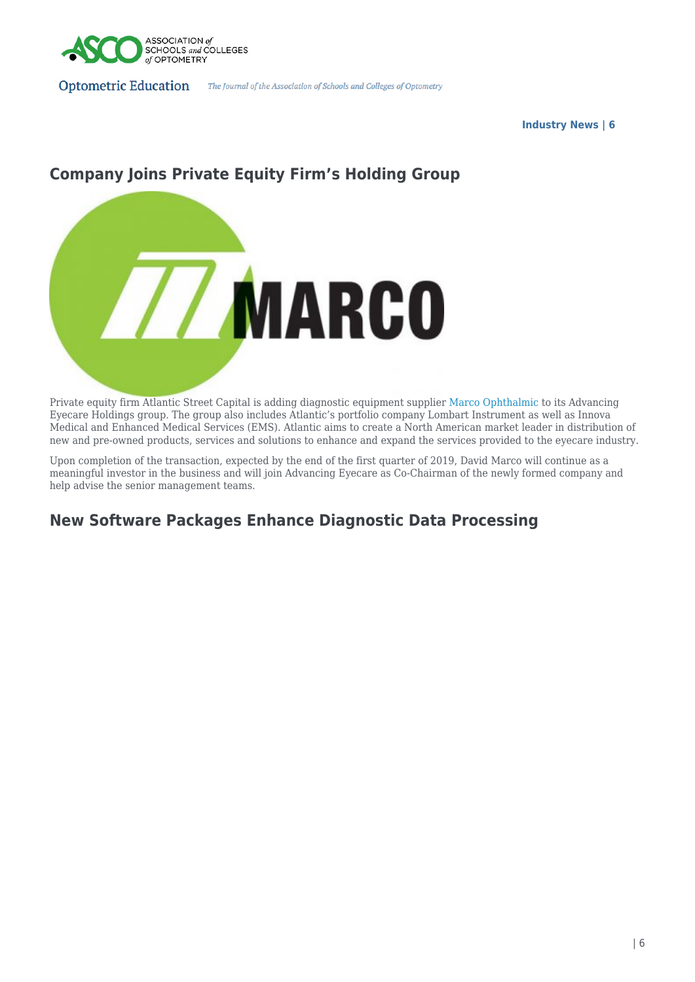

**Industry News | 6**

# **Company Joins Private Equity Firm's Holding Group**



Private equity firm Atlantic Street Capital is adding diagnostic equipment supplier [Marco Ophthalmic](https://marco.com/) to its Advancing Eyecare Holdings group. The group also includes Atlantic's portfolio company Lombart Instrument as well as Innova Medical and Enhanced Medical Services (EMS). Atlantic aims to create a North American market leader in distribution of new and pre-owned products, services and solutions to enhance and expand the services provided to the eyecare industry.

Upon completion of the transaction, expected by the end of the first quarter of 2019, David Marco will continue as a meaningful investor in the business and will join Advancing Eyecare as Co-Chairman of the newly formed company and help advise the senior management teams.

# **New Software Packages Enhance Diagnostic Data Processing**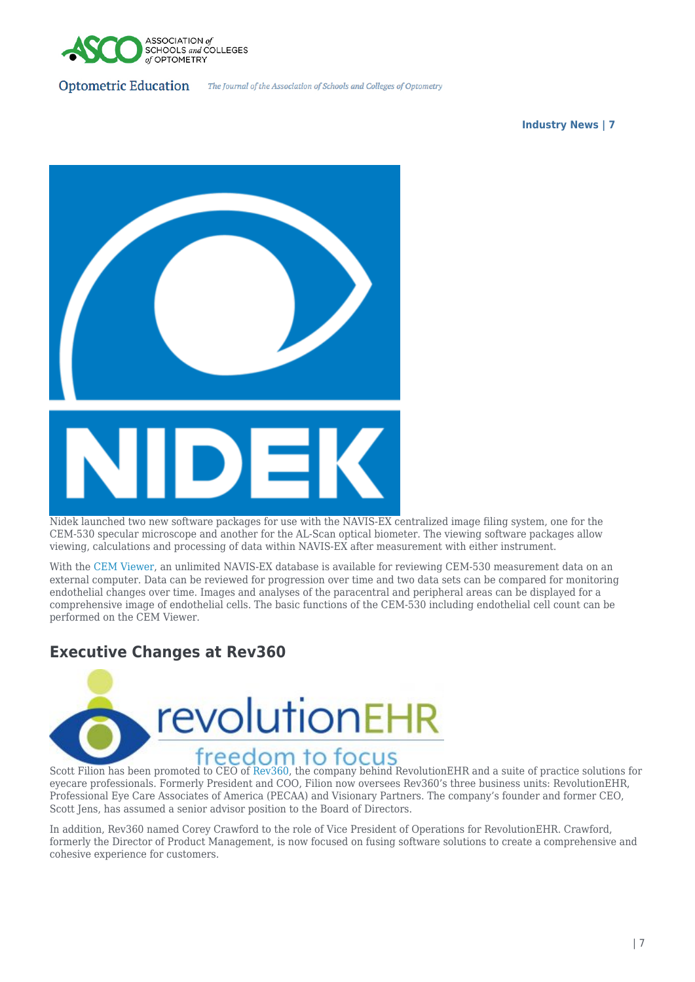

**Industry News | 7**



Nidek launched two new software packages for use with the NAVIS-EX centralized image filing system, one for the CEM-530 specular microscope and another for the AL-Scan optical biometer. The viewing software packages allow viewing, calculations and processing of data within NAVIS-EX after measurement with either instrument.

With the [CEM Viewer](https://usa.nidek.com/products/specular-microscope/), an unlimited NAVIS-EX database is available for reviewing CEM-530 measurement data on an external computer. Data can be reviewed for progression over time and two data sets can be compared for monitoring endothelial changes over time. Images and analyses of the paracentral and peripheral areas can be displayed for a comprehensive image of endothelial cells. The basic functions of the CEM-530 including endothelial cell count can be performed on the CEM Viewer.

### **Executive Changes at Rev360**



eyecare professionals. Formerly President and COO, Filion now oversees Rev360's three business units: RevolutionEHR, Professional Eye Care Associates of America (PECAA) and Visionary Partners. The company's founder and former CEO, Scott Jens, has assumed a senior advisor position to the Board of Directors.

In addition, Rev360 named Corey Crawford to the role of Vice President of Operations for RevolutionEHR. Crawford, formerly the Director of Product Management, is now focused on fusing software solutions to create a comprehensive and cohesive experience for customers.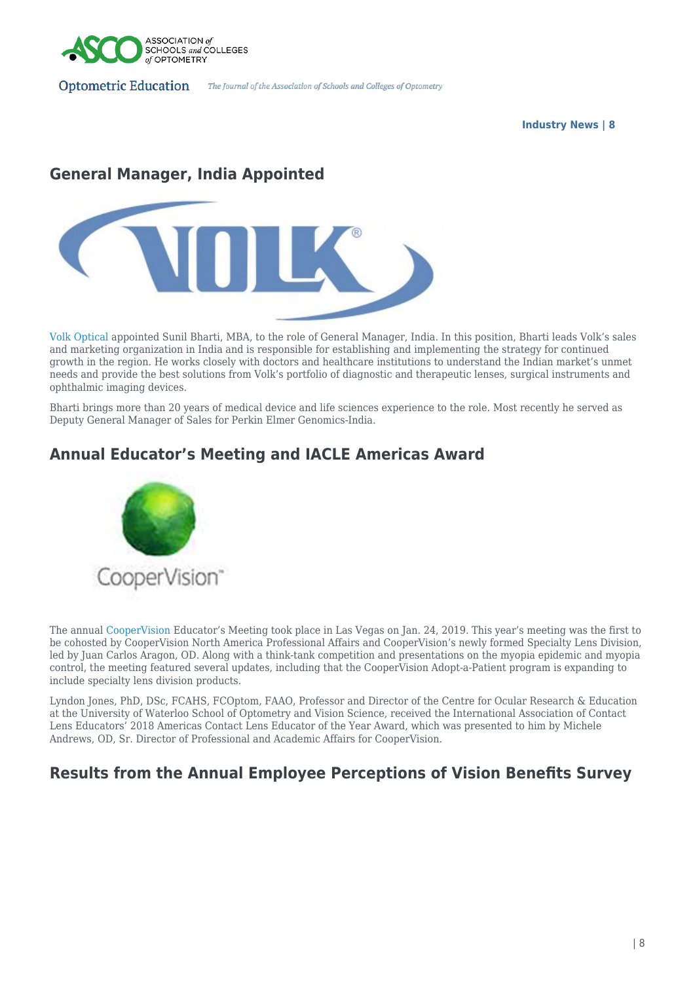

#### **Industry News | 8**

# **General Manager, India Appointed**



[Volk Optical](http://www.volk.com) appointed Sunil Bharti, MBA, to the role of General Manager, India. In this position, Bharti leads Volk's sales and marketing organization in India and is responsible for establishing and implementing the strategy for continued growth in the region. He works closely with doctors and healthcare institutions to understand the Indian market's unmet needs and provide the best solutions from Volk's portfolio of diagnostic and therapeutic lenses, surgical instruments and ophthalmic imaging devices.

Bharti brings more than 20 years of medical device and life sciences experience to the role. Most recently he served as Deputy General Manager of Sales for Perkin Elmer Genomics-India.

# **Annual Educator's Meeting and IACLE Americas Award**



The annual [CooperVision](https://coopervision.com/) Educator's Meeting took place in Las Vegas on Jan. 24, 2019. This year's meeting was the first to be cohosted by CooperVision North America Professional Affairs and CooperVision's newly formed Specialty Lens Division, led by Juan Carlos Aragon, OD. Along with a think-tank competition and presentations on the myopia epidemic and myopia control, the meeting featured several updates, including that the CooperVision Adopt-a-Patient program is expanding to include specialty lens division products.

Lyndon Jones, PhD, DSc, FCAHS, FCOptom, FAAO, Professor and Director of the Centre for Ocular Research & Education at the University of Waterloo School of Optometry and Vision Science, received the International Association of Contact Lens Educators' 2018 Americas Contact Lens Educator of the Year Award, which was presented to him by Michele Andrews, OD, Sr. Director of Professional and Academic Affairs for CooperVision.

# **Results from the Annual Employee Perceptions of Vision Benefits Survey**